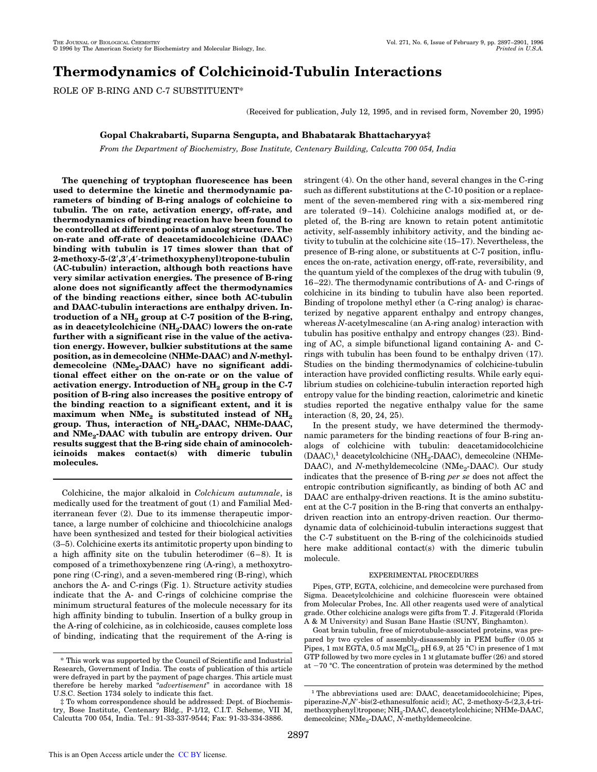# **Thermodynamics of Colchicinoid-Tubulin Interactions**

ROLE OF B-RING AND C-7 SUBSTITUENT\*

(Received for publication, July 12, 1995, and in revised form, November 20, 1995)

## **Gopal Chakrabarti, Suparna Sengupta, and Bhabatarak Bhattacharyya‡**

*From the Department of Biochemistry, Bose Institute, Centenary Building, Calcutta 700 054, India*

**The quenching of tryptophan fluorescence has been used to determine the kinetic and thermodynamic parameters of binding of B-ring analogs of colchicine to tubulin. The on rate, activation energy, off-rate, and thermodynamics of binding reaction have been found to be controlled at different points of analog structure. The on-rate and off-rate of deacetamidocolchicine (DAAC) binding with tubulin is 17 times slower than that of 2-methoxy-5-(2**\***,3**\***,4**\***-trimethoxyphenyl)tropone-tubulin (AC-tubulin) interaction, although both reactions have very similar activation energies. The presence of B-ring alone does not significantly affect the thermodynamics of the binding reactions either, since both AC-tubulin and DAAC-tubulin interactions are enthalpy driven. Introduction of a NH<sup>2</sup> group at C-7 position of the B-ring, as in deacetylcolchicine (NH<sup>2</sup> -DAAC) lowers the on-rate further with a significant rise in the value of the activation energy. However, bulkier substitutions at the same position, as in demecolcine (NHMe-DAAC) and** *N***-methyldemecolcine (NMe<sup>2</sup> -DAAC) have no significant additional effect either on the on-rate or on the value of activation energy. Introduction of NH<sup>2</sup> group in the C-7 position of B-ring also increases the positive entropy of the binding reaction to a significant extent, and it is**  $\texttt{maximum}$  when  $\texttt{NMe}_{2}$  is substituted instead of  $\texttt{NH}_{2}$ **group. Thus, interaction of NH<sup>2</sup> -DAAC, NHMe-DAAC, and NMe<sup>2</sup> -DAAC with tubulin are entropy driven. Our results suggest that the B-ring side chain of aminocolchicinoids makes contact(s) with dimeric tubulin molecules.**

Colchicine, the major alkaloid in *Colchicum autumnale*, is medically used for the treatment of gout (1) and Familial Mediterranean fever (2). Due to its immense therapeutic importance, a large number of colchicine and thiocolchicine analogs have been synthesized and tested for their biological activities (3–5). Colchicine exerts its antimitotic property upon binding to a high affinity site on the tubulin heterodimer (6–8). It is composed of a trimethoxybenzene ring (A-ring), a methoxytropone ring (C-ring), and a seven-membered ring (B-ring), which anchors the A- and C-rings (Fig. 1). Structure activity studies indicate that the A- and C-rings of colchicine comprise the minimum structural features of the molecule necessary for its high affinity binding to tubulin. Insertion of a bulky group in the A-ring of colchicine, as in colchicoside, causes complete loss of binding, indicating that the requirement of the A-ring is stringent (4). On the other hand, several changes in the C-ring such as different substitutions at the C-10 position or a replacement of the seven-membered ring with a six-membered ring are tolerated (9–14). Colchicine analogs modified at, or depleted of, the B-ring are known to retain potent antimitotic activity, self-assembly inhibitory activity, and the binding activity to tubulin at the colchicine site (15–17). Nevertheless, the presence of B-ring alone, or substituents at C-7 position, influences the on-rate, activation energy, off-rate, reversibility, and the quantum yield of the complexes of the drug with tubulin (9, 16–22). The thermodynamic contributions of A- and C-rings of colchicine in its binding to tubulin have also been reported. Binding of tropolone methyl ether (a C-ring analog) is characterized by negative apparent enthalpy and entropy changes, whereas *N*-acetylmescaline (an A-ring analog) interaction with tubulin has positive enthalpy and entropy changes (23). Binding of AC, a simple bifunctional ligand containing A- and Crings with tubulin has been found to be enthalpy driven (17). Studies on the binding thermodynamics of colchicine-tubulin interaction have provided conflicting results. While early equilibrium studies on colchicine-tubulin interaction reported high entropy value for the binding reaction, calorimetric and kinetic studies reported the negative enthalpy value for the same interaction (8, 20, 24, 25).

In the present study, we have determined the thermodynamic parameters for the binding reactions of four B-ring analogs of colchicine with tubulin: deacetamidocolchicine (DAAC),<sup>1</sup> deacetylcolchicine (NH<sub>2</sub>-DAAC), demecolcine (NHMe-DAAC), and *N*-methyldemecolcine (NMe<sub>2</sub>-DAAC). Our study indicates that the presence of B-ring *per se* does not affect the entropic contribution significantly, as binding of both AC and DAAC are enthalpy-driven reactions. It is the amino substituent at the C-7 position in the B-ring that converts an enthalpydriven reaction into an entropy-driven reaction. Our thermodynamic data of colchicinoid-tubulin interactions suggest that the C-7 substituent on the B-ring of the colchicinoids studied here make additional contact(s) with the dimeric tubulin molecule.

## EXPERIMENTAL PROCEDURES

Pipes, GTP, EGTA, colchicine, and demecolcine were purchased from Sigma. Deacetylcolchicine and colchicine fluorescein were obtained from Molecular Probes, Inc. All other reagents used were of analytical grade. Other colchicine analogs were gifts from T. J. Fitzgerald (Florida A & M University) and Susan Bane Hastie (SUNY, Binghamton).

Goat brain tubulin, free of microtubule-associated proteins, was prepared by two cycles of assembly-disassembly in PEM buffer (0.05 M Pipes, 1 mm EGTA, 0.5 mm  ${ {\rm MgCl}_2}$ , pH 6.9, at 25 °C) in presence of 1 mm GTP followed by two more cycles in 1 M glutamate buffer (26) and stored <sup>\*</sup> This work was supported by the Council of Scientific and Industrial  $\frac{G1F}{T}$  romowed by two more cycles in 1 M giutamate burier (20) and stored at  $-70$  °C. The concentration of protein was determined by the method

Research, Government of India. The costs of publication of this article were defrayed in part by the payment of page charges. This article must therefore be hereby marked "*advertisement*" in accordance with 18 U.S.C. Section 1734 solely to indicate this fact.

<sup>‡</sup> To whom correspondence should be addressed: Dept. of Biochemistry, Bose Institute, Centenary Bldg., P-1/12, C.I.T. Scheme, VII M, Calcutta 700 054, India. Tel.: 91-33-337-9544; Fax: 91-33-334-3886.

<sup>&</sup>lt;sup>1</sup> The abbreviations used are: DAAC, deacetamidocolchicine; Pipes, piperazine-*N*,*N'*-bis(2-ethanesulfonic acid); AC, 2-methoxy-5-(2,3,4-trimethoxyphenyl)tropone; NH<sup>2</sup> -DAAC, deacetylcolchicine; NHMe-DAAC, demecolcine; NMe<sub>2</sub>-DAAC, *N*-methyldemecolcine.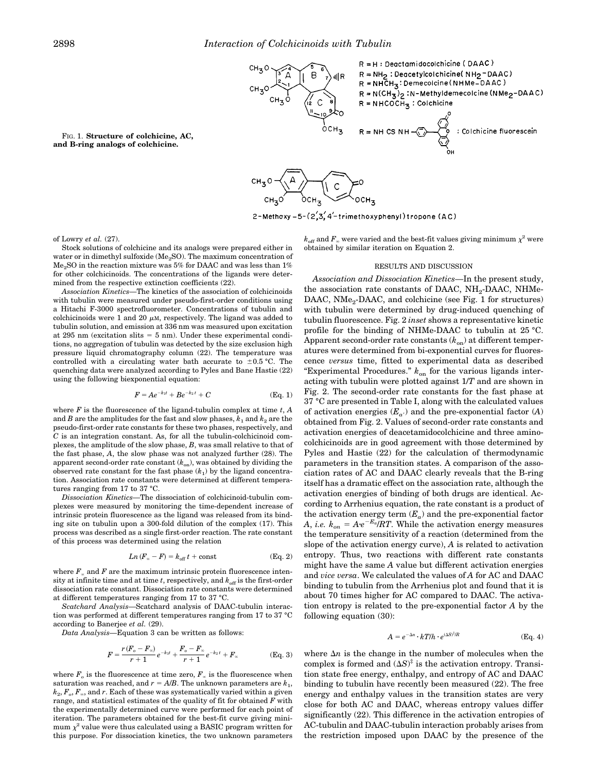

FIG. 1. **Structure of colchicine, AC, and B-ring analogs of colchicine.**

2-Methoxy-5-(2,3,4'-trimethoxyphenyl)tropone (AC)

of Lowry *et al.* (27).

Stock solutions of colchicine and its analogs were prepared either in water or in dimethyl sulfoxide (Me<sub>2</sub>SO). The maximum concentration of  $Me<sub>9</sub>SO$  in the reaction mixture was 5% for DAAC and was less than 1% for other colchicinoids. The concentrations of the ligands were determined from the respective extinction coefficients (22).

*Association Kinetics*—The kinetics of the association of colchicinoids with tubulin were measured under pseudo-first-order conditions using a Hitachi F-3000 spectrofluorometer. Concentrations of tubulin and colchicinoids were 1 and 20  $\mu$ M, respectively. The ligand was added to tubulin solution, and emission at 336 nm was measured upon excitation at 295 nm (excitation slits  $= 5$  nm). Under these experimental conditions, no aggregation of tubulin was detected by the size exclusion high pressure liquid chromatography column (22). The temperature was controlled with a circulating water bath accurate to  $\pm 0.5$  °C. The quenching data were analyzed according to Pyles and Bane Hastie (22) using the following biexponential equation:

$$
F = Ae^{-k_1t} + Be^{-k_2t} + C
$$
 (Eq. 1)

where *F* is the fluorescence of the ligand-tubulin complex at time *t*, *A* and *B* are the amplitudes for the fast and slow phases,  $k_1$  and  $k_2$  are the pseudo-first-order rate constants for these two phases, respectively, and *C* is an integration constant. As, for all the tubulin-colchicinoid complexes, the amplitude of the slow phase, *B*, was small relative to that of the fast phase, *A*, the slow phase was not analyzed further (28). The apparent second-order rate constant  $(k_{on})$ , was obtained by dividing the observed rate constant for the fast phase  $(k_1)$  by the ligand concentration. Association rate constants were determined at different temperatures ranging from 17 to 37 °C.

*Dissociation Kinetics*—The dissociation of colchicinoid-tubulin complexes were measured by monitoring the time-dependent increase of intrinsic protein fluorescence as the ligand was released from its binding site on tubulin upon a 300-fold dilution of the complex (17). This process was described as a single first-order reaction. The rate constant of this process was determined using the relation

$$
Ln(F_{\infty}-F) = k_{\text{off}}t + \text{const} \tag{Eq. 2}
$$

where  $F<sub>x</sub>$  and  $F$  are the maximum intrinsic protein fluorescence intensity at infinite time and at time  $t$ , respectively, and  $k_{\text{off}}$  is the first-order dissociation rate constant. Dissociation rate constants were determined at different temperatures ranging from 17 to 37 °C.

*Scatchard Analysis*—Scatchard analysis of DAAC-tubulin interaction was performed at different temperatures ranging from 17 to 37 °C according to Banerjee *et al.* (29).

*Data Analysis*—Equation 3 can be written as follows:

$$
F = \frac{r(F_o - F_\infty)}{r+1} e^{-k_1 t} + \frac{F_o - F_\infty}{r+1} e^{-k_2 t} + F_\infty
$$
 (Eq. 3)

where  $F_o$  is the fluorescence at time zero,  $F_\infty$  is the fluorescence when saturation was reached, and  $r = A/B$ . The unknown parameters are  $k_1$ ,  $k_{\textit{2}}, F_{\textit{o}}, F_{\textit{\tiny{\text{w}}}}$ , and  $r$ . Each of these was systematically varied within a given range, and statistical estimates of the quality of fit for obtained *F* with the experimentally determined curve were performed for each point of iteration. The parameters obtained for the best-fit curve giving minimum  $\chi^2$  value were thus calculated using a BASIC program written for this purpose. For dissociation kinetics, the two unknown parameters

 $k_{\text{off}}$  and  $F_{\scriptscriptstyle\infty}$  were varied and the best-fit values giving minimum  $\chi^2$  were obtained by similar iteration on Equation 2.

### RESULTS AND DISCUSSION

*Association and Dissociation Kinetics*—In the present study, the association rate constants of DAAC,  $NH_2$ -DAAC, NHMe-DAAC, NMe<sub>2</sub>-DAAC, and colchicine (see Fig. 1 for structures) with tubulin were determined by drug-induced quenching of tubulin fluorescence. Fig. 2 *inset* shows a representative kinetic profile for the binding of NHMe-DAAC to tubulin at 25 °C. Apparent second-order rate constants ( $k_{on}$ ) at different temperatures were determined from bi-exponential curves for fluorescence *versus* time, fitted to experimental data as described "Experimental Procedures." *k*on for the various ligands interacting with tubulin were plotted against 1/*T* and are shown in Fig. 2. The second-order rate constants for the fast phase at 37 °C are presented in Table I, along with the calculated values of activation energies  $(E_{a})$  and the pre-exponential factor  $(A)$ obtained from Fig. 2. Values of second-order rate constants and activation energies of deacetamidocolchicine and three aminocolchicinoids are in good agreement with those determined by Pyles and Hastie (22) for the calculation of thermodynamic parameters in the transition states. A comparison of the association rates of AC and DAAC clearly reveals that the B-ring itself has a dramatic effect on the association rate, although the activation energies of binding of both drugs are identical. According to Arrhenius equation, the rate constant is a product of the activation energy term  $(E_a)$  and the pre-exponential factor *A*, *i.e.*  $k_{on} = Ae^{-E_a} / RT$ . While the activation energy measures the temperature sensitivity of a reaction (determined from the slope of the activation energy curve), *A* is related to activation entropy. Thus, two reactions with different rate constants might have the same *A* value but different activation energies and *vice versa*. We calculated the values of *A* for AC and DAAC binding to tubulin from the Arrhenius plot and found that it is about 70 times higher for AC compared to DAAC. The activation entropy is related to the pre-exponential factor *A* by the following equation (30):

$$
A = e^{-\Delta n} \cdot kT/h \cdot e^{(\Delta S)^{\ddagger}/R} \tag{Eq. 4}
$$

where  $\Delta n$  is the change in the number of molecules when the complex is formed and  $(\Delta S)^{\ddagger}$  is the activation entropy. Transition state free energy, enthalpy, and entropy of AC and DAAC binding to tubulin have recently been measured (22). The free energy and enthalpy values in the transition states are very close for both AC and DAAC, whereas entropy values differ significantly (22). This difference in the activation entropies of AC-tubulin and DAAC-tubulin interaction probably arises from the restriction imposed upon DAAC by the presence of the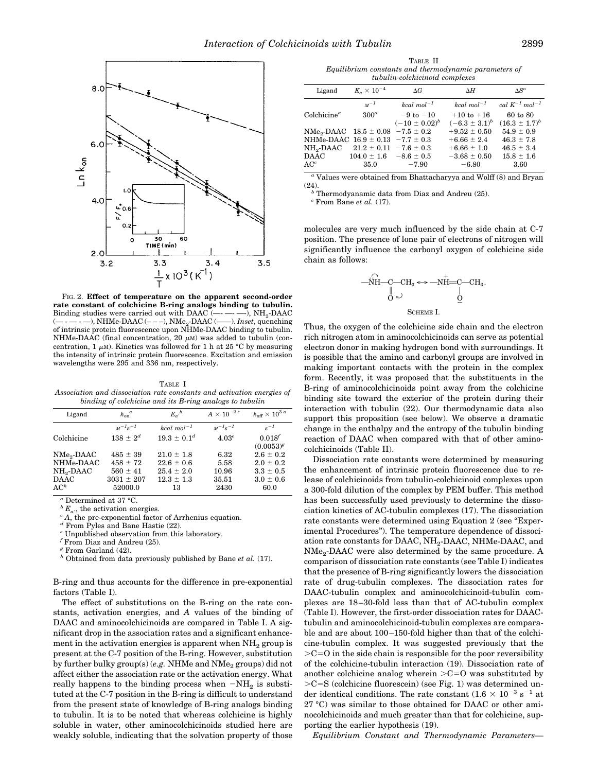

FIG. 2. **Effect of temperature on the apparent second-order rate constant of colchicine B-ring analogs binding to tubulin.** Binding studies were carried out with DAAC (--). NH.-DAAC  $(-)$ , NHMe-DAAC  $(- - )$ , NMe<sub>2</sub>-DAAC  $(- )$ -). *Inset*, quenching of intrinsic protein fluorescence upon NHMe-DAAC binding to tubulin. NHMe-DAAC (final concentration, 20  $\mu$ M) was added to tubulin (concentration, 1  $\mu$ M). Kinetics was followed for 1 h at 25 °C by measuring the intensity of intrinsic protein fluorescence. Excitation and emission wavelengths were 295 and 336 nm, respectively.

TABLE I *Association and dissociation rate constants and activation energies of binding of colchicine and its B-ring analogs to tubulin*

| Ligand                 | $k_{\text{on}}^{\ \ a}$ | $E_{\alpha'}^{\ \ b}$ | $A \times 10^{-2}$ | $k_{\rm off}$ $\times$ $10^{3}$ $^a$ |  |  |
|------------------------|-------------------------|-----------------------|--------------------|--------------------------------------|--|--|
|                        | $M^{-1}S^{-1}$          | kcal $mol^{-1}$       | $M^{-1}S^{-1}$     | $s^{-1}$                             |  |  |
| Colchicine             | $138 \pm 2^{d}$         | $19.3 \pm 0.1^d$      | 4.03 <sup>e</sup>  | $0.018^{f}$                          |  |  |
|                        |                         |                       |                    | $(0.0053)^g$                         |  |  |
| NMe <sub>2</sub> -DAAC | $485 \pm 39$            | $21.0 \pm 1.8$        | 6.32               | $2.6 \pm 0.2$                        |  |  |
| NHMe-DAAC              | $458 \pm 72$            | $22.6 \pm 0.6$        | 5.58               | $2.0 \pm 0.2$                        |  |  |
| NH <sub>0</sub> -DAAC  | $560 \pm 41$            | $25.4 \pm 2.0$        | 10.96              | $3.3 \pm 0.5$                        |  |  |
| <b>DAAC</b>            | $3031 \pm 207$          | $12.3 \pm 1.3$        | 35.51              | $3.0 \pm 0.6$                        |  |  |
| AC <sup>h</sup>        | 52000.0                 | 13                    | 2430               | 60.0                                 |  |  |

*<sup>a</sup>* Determined at 37 °C.

 ${}^b E_{a}$ <sup>*,*</sup>, the activation energies.

*<sup>c</sup> A*, the pre-exponential factor of Arrhenius equation.

*<sup>d</sup>* From Pyles and Bane Hastie (22).

Unpublished observation from this laboratory.

*<sup>f</sup>* From Diaz and Andreu (25).

*<sup>g</sup>* From Garland (42).

*<sup>h</sup>* Obtained from data previously published by Bane *et al.* (17).

B-ring and thus accounts for the difference in pre-exponential factors (Table I).

The effect of substitutions on the B-ring on the rate constants, activation energies, and *A* values of the binding of DAAC and aminocolchicinoids are compared in Table I. A significant drop in the association rates and a significant enhancement in the activation energies is apparent when  $NH<sub>2</sub>$  group is present at the C-7 position of the B-ring. However, substitution by further bulky group(s) (e.g. NHMe and NMe<sub>2</sub> groups) did not affect either the association rate or the activation energy. What really happens to the binding process when  $-N\mathrm{H}_2$  is substituted at the C-7 position in the B-ring is difficult to understand from the present state of knowledge of B-ring analogs binding to tubulin. It is to be noted that whereas colchicine is highly soluble in water, other aminocolchicinoids studied here are weakly soluble, indicating that the solvation property of those

TABLE II *Equilibrium constants and thermodynamic parameters of tubulin-colchicinoid complexes*

| Ligand         | $K_{\alpha} \times 10^{-4}$                           | $\Delta G$         | ΔΗ                 | $\Delta S^o$                   |
|----------------|-------------------------------------------------------|--------------------|--------------------|--------------------------------|
|                | $M^{-1}$                                              | $kcal \ mol^{-1}$  | $kcal \ mol^{-1}$  | cal $K^{-1}$ mol <sup>-1</sup> |
| $Colchicine^a$ | $300^a$                                               | $-9$ to $-10$      | $+10$ to $+16$     | 60 to 80                       |
|                |                                                       | $(-10 \pm 0.02)^b$ | $(-6.3 \pm 3.1)^b$ | $(16.3 \pm 1.7)^b$             |
|                | NMe <sub>2</sub> -DAAC $18.5 \pm 0.08$ -7.5 $\pm$ 0.2 |                    | $+9.52 \pm 0.50$   | $54.9 \pm 0.9$                 |
|                | NHMe-DAAC $16.9 \pm 0.13 -7.7 \pm 0.3$                |                    | $+6.66 \pm 2.4$    | $46.3 \pm 7.8$                 |
|                | $NH_2$ -DAAC 21.2 $\pm$ 0.11 -7.6 $\pm$ 0.3           |                    | $+6.66 \pm 1.0$    | $46.5 \pm 3.4$                 |
| <b>DAAC</b>    | $104.0 \pm 1.6$ $-8.6 \pm 0.5$                        |                    | $-3.68 \pm 0.50$   | $15.8 \pm 1.6$                 |
| $AC^c$         | 35.0                                                  | $-7.90$            | $-6.80$            | 3.60                           |

*<sup>a</sup>* Values were obtained from Bhattacharyya and Wolff (8) and Bryan (24).

*<sup>b</sup>* Thermodyanamic data from Diaz and Andreu (25).

*<sup>c</sup>* From Bane *et al.* (17).

molecules are very much influenced by the side chain at C-7 position. The presence of lone pair of electrons of nitrogen will significantly influence the carbonyl oxygen of colchicine side chain as follows:

$$
\begin{array}{c}\stackrel{\cdot \wedge }{\longrightarrow }\stackrel{\cdot }{\underset{\scriptstyle\longrightarrow }{\text{NH}}-C-CH_{3}}\Longleftrightarrow -\stackrel{\cdot }{\underset{\scriptstyle\longrightarrow }{\text{NH}}-C-CH_{3}}.\\\stackrel{\parallel }{\longrightarrow}\qquad \qquad \underset{\scriptstyle\longrightarrow }{\overset{\scriptstyle\longleftarrow }{\text{C}}-CH_{3}}.\end{array}
$$

Thus, the oxygen of the colchicine side chain and the electron rich nitrogen atom in aminocolchicinoids can serve as potential electron donor in making hydrogen bond with surroundings. It is possible that the amino and carbonyl groups are involved in making important contacts with the protein in the complex form. Recently, it was proposed that the substituents in the B-ring of aminocolchicinoids point away from the colchicine binding site toward the exterior of the protein during their interaction with tubulin (22). Our thermodynamic data also support this proposition (see below). We observe a dramatic change in the enthalpy and the entropy of the tubulin binding reaction of DAAC when compared with that of other aminocolchicinoids (Table II).

Dissociation rate constants were determined by measuring the enhancement of intrinsic protein fluorescence due to release of colchicinoids from tubulin-colchicinoid complexes upon a 300-fold dilution of the complex by PEM buffer. This method has been successfully used previously to determine the dissociation kinetics of AC-tubulin complexes (17). The dissociation rate constants were determined using Equation 2 (see "Experimental Procedures"). The temperature dependence of dissociation rate constants for DAAC,  $\mathrm{NH}_2\text{-}\mathrm{D}\mathrm{A}\mathrm{A}\mathrm{C}$ ,  $\mathrm{N}\mathrm{H}\mathrm{M}\mathrm{e}\text{-}\mathrm{D}\mathrm{A}\mathrm{A}\mathrm{C}$ , and NMe<sup>2</sup> -DAAC were also determined by the same procedure. A comparison of dissociation rate constants (see Table I) indicates that the presence of B-ring significantly lowers the dissociation rate of drug-tubulin complexes. The dissociation rates for DAAC-tubulin complex and aminocolchicinoid-tubulin complexes are 18–30-fold less than that of AC-tubulin complex (Table I). However, the first-order dissociation rates for DAACtubulin and aminocolchicinoid-tubulin complexes are comparable and are about 100–150-fold higher than that of the colchicine-tubulin complex. It was suggested previously that the  $>C=O$  in the side chain is responsible for the poor reversibility of the colchicine-tubulin interaction (19). Dissociation rate of another colchicine analog wherein  $>C=O$  was substituted by  $>C=S$  (colchicine fluorescein) (see Fig. 1) was determined under identical conditions. The rate constant  $(1.6 \times 10^{-3} \text{ s}^{-1}$  at 27 °C) was similar to those obtained for DAAC or other aminocolchicinoids and much greater than that for colchicine, supporting the earlier hypothesis (19).

*Equilibrium Constant and Thermodynamic Parameters*—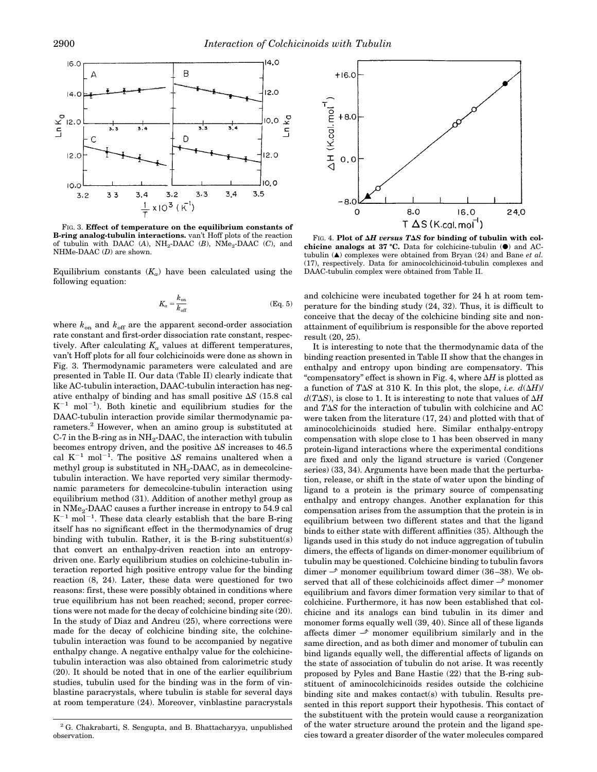

FIG. 3. **Effect of temperature on the equilibrium constants of B-ring analog-tubulin interactions.** van't Hoff plots of the reaction of tubulin with DAAC (A), NH<sub>2</sub>-DAAC (B), NMe<sub>2</sub>-DAAC (C), and NHMe-DAAC (*D*) are shown.

Equilibrium constants  $(K_a)$  have been calculated using the following equation:

$$
K_a = \frac{k_{\text{on}}}{k_{\text{off}}} \tag{Eq. 5}
$$

where  $k_{\text{on}}$  and  $k_{\text{off}}$  are the apparent second-order association rate constant and first-order dissociation rate constant, respectively. After calculating  $K_a$  values at different temperatures, van't Hoff plots for all four colchicinoids were done as shown in Fig. 3. Thermodynamic parameters were calculated and are presented in Table II. Our data (Table II) clearly indicate that like AC-tubulin interaction, DAAC-tubulin interaction has negative enthalpy of binding and has small positive  $\Delta S$  (15.8 cal  $K^{-1}$  mol<sup>-1</sup>). Both kinetic and equilibrium studies for the DAAC-tubulin interaction provide similar thermodynamic parameters.<sup>2</sup> However, when an amino group is substituted at C-7 in the B-ring as in  $\text{NH}_2\text{-}\text{DAAC}$ , the interaction with tubulin becomes entropy driven, and the positive  $\Delta S$  increases to 46.5 cal  $K^{-1}$  mol<sup>-1</sup>. The positive  $\Delta S$  remains unaltered when a methyl group is substituted in  $NH_2$ -DAAC, as in demecolcinetubulin interaction. We have reported very similar thermodynamic parameters for demecolcine-tubulin interaction using equilibrium method (31). Addition of another methyl group as in  $\mathrm{NMe}_2\text{-}\mathrm{DAAC}$  causes a further increase in entropy to  $54.9$  cal  $K^{-1}$  mol<sup>-1</sup>. These data clearly establish that the bare B-ring itself has no significant effect in the thermodynamics of drug binding with tubulin. Rather, it is the B-ring substituent(s) that convert an enthalpy-driven reaction into an entropydriven one. Early equilibrium studies on colchicine-tubulin interaction reported high positive entropy value for the binding reaction (8, 24). Later, these data were questioned for two reasons: first, these were possibly obtained in conditions where true equilibrium has not been reached; second, proper corrections were not made for the decay of colchicine binding site (20). In the study of Diaz and Andreu (25), where corrections were made for the decay of colchicine binding site, the colchinetubulin interaction was found to be accompanied by negative enthalpy change. A negative enthalpy value for the colchicinetubulin interaction was also obtained from calorimetric study  $(20)$ . It should be noted that in one of the earlier equilibrium studies, tubulin used for the binding was in the form of vinblastine paracrystals, where tubulin is stable for several days at room temperature (24). Moreover, vinblastine paracrystals



FIG. 4. Plot of  $\Delta H$  versus T $\Delta S$  for binding of tubulin with col**chicine analogs at 37 °C.** Data for colchicine-tubulin (●) and ACtubulin (å) complexes were obtained from Bryan (24) and Bane *et al.* (17), respectively. Data for aminocolchicinoid-tubulin complexes and DAAC-tubulin complex were obtained from Table II.

and colchicine were incubated together for 24 h at room temperature for the binding study (24, 32). Thus, it is difficult to conceive that the decay of the colchicine binding site and nonattainment of equilibrium is responsible for the above reported result (20, 25).

It is interesting to note that the thermodynamic data of the binding reaction presented in Table II show that the changes in enthalpy and entropy upon binding are compensatory. This "compensatory" effect is shown in Fig. 4, where  $\Delta H$  is plotted as a function of T $\Delta S$  at 310 K. In this plot, the slope, *i.e.*  $d(\Delta H)$ /  $d(T\Delta S)$ , is close to 1. It is interesting to note that values of  $\Delta H$ and  $T\Delta S$  for the interaction of tubulin with colchicine and AC were taken from the literature (17, 24) and plotted with that of aminocolchicinoids studied here. Similar enthalpy-entropy compensation with slope close to 1 has been observed in many protein-ligand interactions where the experimental conditions are fixed and only the ligand structure is varied (Congener series) (33, 34). Arguments have been made that the perturbation, release, or shift in the state of water upon the binding of ligand to a protein is the primary source of compensating enthalpy and entropy changes. Another explanation for this compensation arises from the assumption that the protein is in equilibrium between two different states and that the ligand binds to either state with different affinities (35). Although the ligands used in this study do not induce aggregation of tubulin dimers, the effects of ligands on dimer-monomer equilibrium of tubulin may be questioned. Colchicine binding to tubulin favors dimer  $\rightarrow$  monomer equilibrium toward dimer (36–38). We observed that all of these colchicinoids affect dimer  $\rightarrow$  monomer equilibrium and favors dimer formation very similar to that of colchicine. Furthermore, it has now been established that colchicine and its analogs can bind tubulin in its dimer and monomer forms equally well (39, 40). Since all of these ligands affects dimer  $\rightarrow$  monomer equilibrium similarly and in the same direction, and as both dimer and monomer of tubulin can bind ligands equally well, the differential affects of ligands on the state of association of tubulin do not arise. It was recently proposed by Pyles and Bane Hastie (22) that the B-ring substituent of aminocolchicinoids resides outside the colchicine binding site and makes contact(s) with tubulin. Results presented in this report support their hypothesis. This contact of the substituent with the protein would cause a reorganization of the water structure around the protein and the ligand species toward a greater disorder of the water molecules compared

<sup>2</sup> G. Chakrabarti, S. Sengupta, and B. Bhattacharyya, unpublished observation.